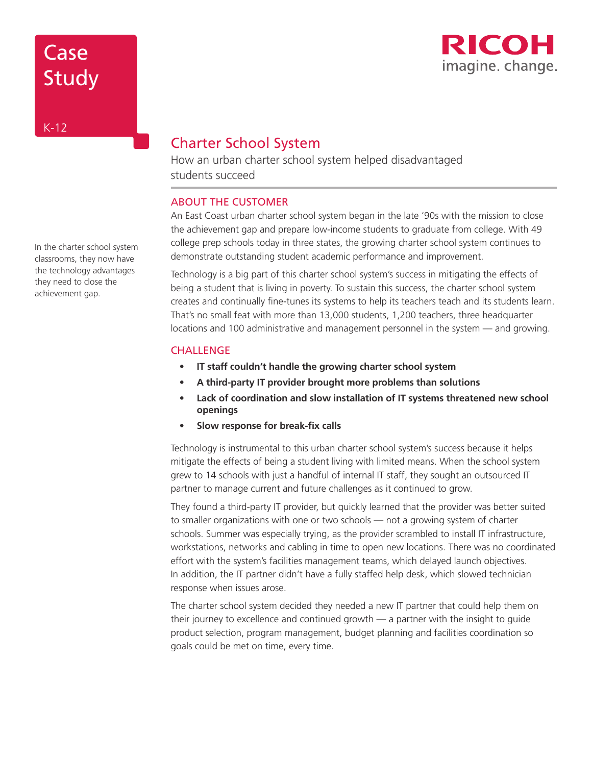

# Case Study

## Charter School System

How an urban charter school system helped disadvantaged students succeed

## ABOUT THE CUSTOMER

An East Coast urban charter school system began in the late '90s with the mission to close the achievement gap and prepare low-income students to graduate from college. With 49 college prep schools today in three states, the growing charter school system continues to demonstrate outstanding student academic performance and improvement.

Technology is a big part of this charter school system's success in mitigating the effects of being a student that is living in poverty. To sustain this success, the charter school system creates and continually fine-tunes its systems to help its teachers teach and its students learn. That's no small feat with more than 13,000 students, 1,200 teachers, three headquarter locations and 100 administrative and management personnel in the system — and growing.

## **CHALLENGE**

- **• IT staff couldn't handle the growing charter school system**
- **• A third-party IT provider brought more problems than solutions**
- **• Lack of coordination and slow installation of IT systems threatened new school openings**
- **• Slow response for break-fix calls**

Technology is instrumental to this urban charter school system's success because it helps mitigate the effects of being a student living with limited means. When the school system grew to 14 schools with just a handful of internal IT staff, they sought an outsourced IT partner to manage current and future challenges as it continued to grow.

They found a third-party IT provider, but quickly learned that the provider was better suited to smaller organizations with one or two schools — not a growing system of charter schools. Summer was especially trying, as the provider scrambled to install IT infrastructure, workstations, networks and cabling in time to open new locations. There was no coordinated effort with the system's facilities management teams, which delayed launch objectives. In addition, the IT partner didn't have a fully staffed help desk, which slowed technician response when issues arose.

The charter school system decided they needed a new IT partner that could help them on their journey to excellence and continued growth — a partner with the insight to guide product selection, program management, budget planning and facilities coordination so goals could be met on time, every time.

In the charter school system classrooms, they now have the technology advantages they need to close the achievement gap.